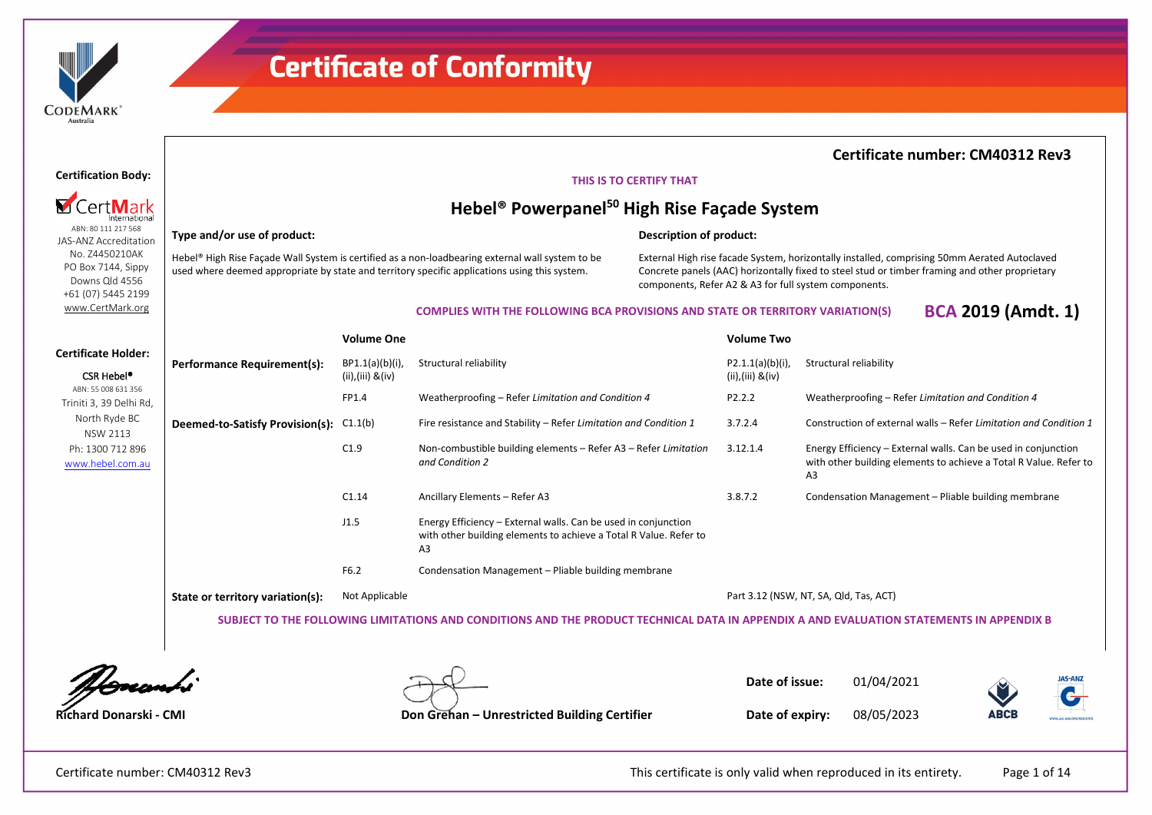

**Certification Body:**

**M** CertMark

ABN: 80 111 217 568 JAS-ANZ Accreditation No. Z4450210AK PO Box 7144, Sippy Downs Qld 4556 +61 (07) 5445 2199 [www.CertMark.org](http://www.certmark.org/)

**Type and/or use of product:**

### **Certificate of Conformity**

### **Certificate number: CM40312 Rev3**

#### **THIS IS TO CERTIFY THAT**

### **Hebel® Powerpanel50 High Rise Façade System**

#### **Description of product:**

Hebel® High Rise Façade Wall System is certified as a non-loadbearing external wall system to be used where deemed appropriate by state and territory specific applications using this system.

External High rise facade System, horizontally installed, comprising 50mm Aerated Autoclaved Concrete panels (AAC) horizontally fixed to steel stud or timber framing and other proprietary components, Refer A2 & A3 for full system components.

#### **COMPLIES WITH THE FOLLOWING BCA PROVISIONS AND STATE OR TERRITORY VARIATION(S) BCA 2019 (Amdt. 1)**

|                                                      |                                                                                                                                          | <b>Volume One</b>                        |                                                                                                                                           | <b>Volume Two</b>                          |                                                                                                                                           |  |  |  |  |
|------------------------------------------------------|------------------------------------------------------------------------------------------------------------------------------------------|------------------------------------------|-------------------------------------------------------------------------------------------------------------------------------------------|--------------------------------------------|-------------------------------------------------------------------------------------------------------------------------------------------|--|--|--|--|
| <b>Certificate Holder:</b><br>CSR Hebel <sup>®</sup> | Performance Requirement(s):                                                                                                              | BP1.1(a)(b)(i)<br>$(ii), (iii)$ & $(iv)$ | Structural reliability                                                                                                                    | $P2.1.1(a)(b)(i)$ ,<br>$(ii), (iii)$ &(iv) | Structural reliability                                                                                                                    |  |  |  |  |
| ABN: 55 008 631 356<br>Triniti 3, 39 Delhi Rd,       |                                                                                                                                          | FP1.4                                    | Weatherproofing - Refer Limitation and Condition 4                                                                                        | P2.2.2                                     | Weatherproofing – Refer Limitation and Condition 4                                                                                        |  |  |  |  |
| North Ryde BC<br>NSW 2113                            | Deemed-to-Satisfy Provision(s): C1.1(b)                                                                                                  |                                          | Fire resistance and Stability - Refer Limitation and Condition 1                                                                          | 3.7.2.4                                    | Construction of external walls - Refer Limitation and Condition 1                                                                         |  |  |  |  |
| Ph: 1300 712 896<br>www.hebel.com.au                 |                                                                                                                                          | C1.9                                     | Non-combustible building elements - Refer A3 - Refer Limitation<br>and Condition 2                                                        | 3.12.1.4                                   | Energy Efficiency – External walls. Can be used in conjunction<br>with other building elements to achieve a Total R Value. Refer to<br>A3 |  |  |  |  |
|                                                      |                                                                                                                                          | C1.14                                    | Ancillary Elements - Refer A3                                                                                                             | 3.8.7.2                                    | Condensation Management - Pliable building membrane                                                                                       |  |  |  |  |
|                                                      |                                                                                                                                          | J1.5                                     | Energy Efficiency – External walls. Can be used in conjunction<br>with other building elements to achieve a Total R Value. Refer to<br>A3 |                                            |                                                                                                                                           |  |  |  |  |
|                                                      |                                                                                                                                          | F6.2                                     | Condensation Management – Pliable building membrane                                                                                       |                                            |                                                                                                                                           |  |  |  |  |
|                                                      | State or territory variation(s):                                                                                                         | Not Applicable                           |                                                                                                                                           |                                            | Part 3.12 (NSW, NT, SA, Qld, Tas, ACT)                                                                                                    |  |  |  |  |
|                                                      | SUBJECT TO THE FOLLOWING LIMITATIONS AND CONDITIONS AND THE PRODUCT TECHNICAL DATA IN APPENDIX A AND EVALUATION STATEMENTS IN APPENDIX B |                                          |                                                                                                                                           |                                            |                                                                                                                                           |  |  |  |  |



**Date of issue:** 01/04/2021



**Richard Donarski - CMI Don Grehan – Unrestricted Building Certifier**

**Date of expiry:** 08/05/2023

Certificate number: CM40312 Rev3 This certificate is only valid when reproduced in its entirety. Page 1 of 14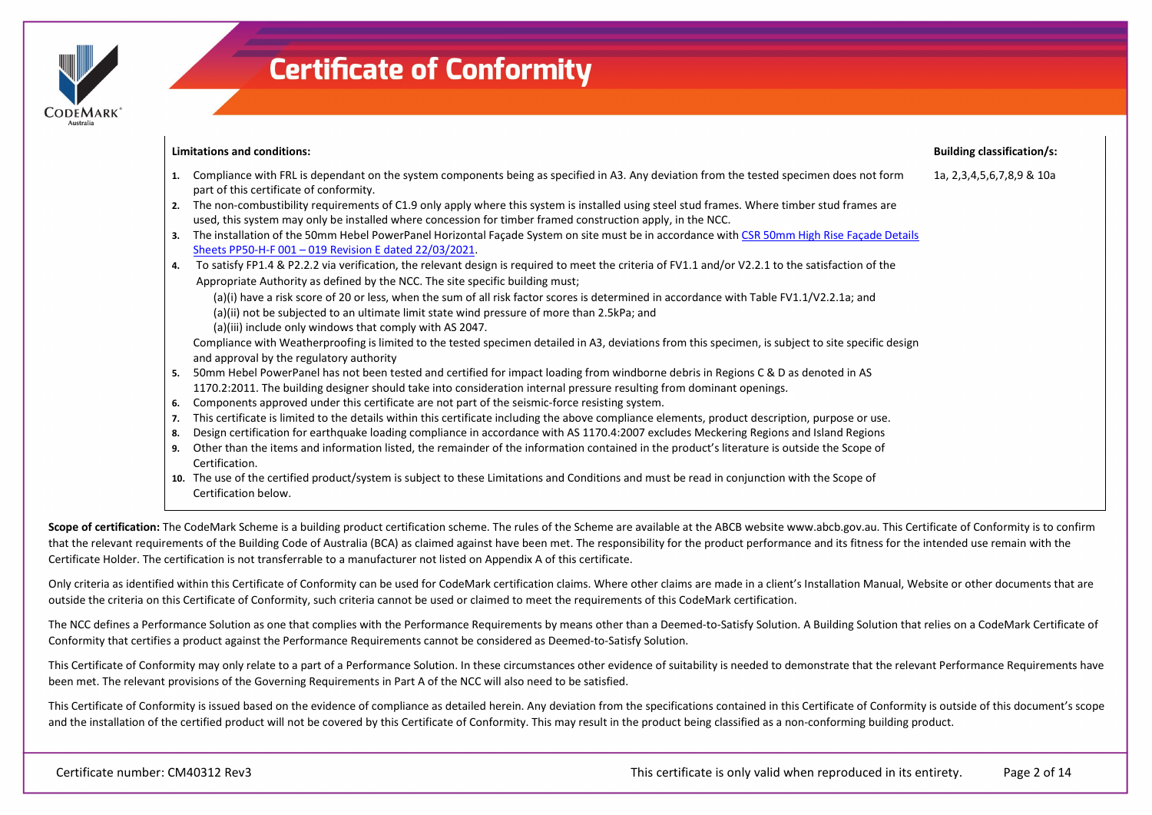

**Limitations and conditions: 1.** Compliance with FRL is dependant on the system components being as specified in A3. Any deviation from the tested specimen does not form part of this certificate of conformity. **2.** The non-combustibility requirements of C1.9 only apply where this system is installed using steel stud frames. Where timber stud frames are used, this system may only be installed where concession for timber framed construction apply, in the NCC. **3.** The installation of the 50mm Hebel PowerPanel Horizontal Façade System on site must be in accordance wit[h CSR 50mm High Rise Façade Details](https://register.certmark.org/certificates/CSR-Building-Products/CM40312/PP50-H-F_001-0019_Revision_E.pdf)  [Sheets PP50-H-F 001 –](https://register.certmark.org/certificates/CSR-Building-Products/CM40312/PP50-H-F_001-0019_Revision_E.pdf) 019 Revision E dated 22/03/2021. **4.** To satisfy FP1.4 & P2.2.2 via verification, the relevant design is required to meet the criteria of FV1.1 and/or V2.2.1 to the satisfaction of the Appropriate Authority as defined by the NCC. The site specific building must; (a)(i) have a risk score of 20 or less, when the sum of all risk factor scores is determined in accordance with Table FV1.1/V2.2.1a; and (a)(ii) not be subjected to an ultimate limit state wind pressure of more than 2.5kPa; and (a)(iii) include only windows that comply with AS 2047. Compliance with Weatherproofing is limited to the tested specimen detailed in A3, deviations from this specimen, is subject to site specific design and approval by the regulatory authority **5.** 50mm Hebel PowerPanel has not been tested and certified for impact loading from windborne debris in Regions C & D as denoted in AS 1170.2:2011. The building designer should take into consideration internal pressure resulting from dominant openings. **6.** Components approved under this certificate are not part of the seismic-force resisting system. **7.** This certificate is limited to the details within this certificate including the above compliance elements, product description, purpose or use. **8.** Design certification for earthquake loading compliance in accordance with AS 1170.4:2007 excludes Meckering Regions and Island Regions **9.** Other than the items and information listed, the remainder of the information contained in the product's literature is outside the Scope of Certification. **10.** The use of the certified product/system is subject to these Limitations and Conditions and must be read in conjunction with the Scope of **Building classification/s:** 1a, 2,3,4,5,6,7,8,9 & 10a

Scope of certification: The CodeMark Scheme is a building product certification scheme. The rules of the Scheme are available at the ABCB website www.abcb.gov.au. This Certificate of Conformity is to confirm that the relevant requirements of the Building Code of Australia (BCA) as claimed against have been met. The responsibility for the product performance and its fitness for the intended use remain with the Certificate Holder. The certification is not transferrable to a manufacturer not listed on Appendix A of this certificate.

Only criteria as identified within this Certificate of Conformity can be used for CodeMark certification claims. Where other claims are made in a client's Installation Manual, Website or other documents that are outside the criteria on this Certificate of Conformity, such criteria cannot be used or claimed to meet the requirements of this CodeMark certification.

The NCC defines a Performance Solution as one that complies with the Performance Requirements by means other than a Deemed-to-Satisfy Solution. A Building Solution that relies on a CodeMark Certificate of Conformity that certifies a product against the Performance Requirements cannot be considered as Deemed-to-Satisfy Solution.

This Certificate of Conformity may only relate to a part of a Performance Solution. In these circumstances other evidence of suitability is needed to demonstrate that the relevant Performance Requirements have been met. The relevant provisions of the Governing Requirements in Part A of the NCC will also need to be satisfied.

This Certificate of Conformity is issued based on the evidence of compliance as detailed herein. Any deviation from the specifications contained in this Certificate of Conformity is outside of this document's scope and the installation of the certified product will not be covered by this Certificate of Conformity. This may result in the product being classified as a non-conforming building product.

Certification below.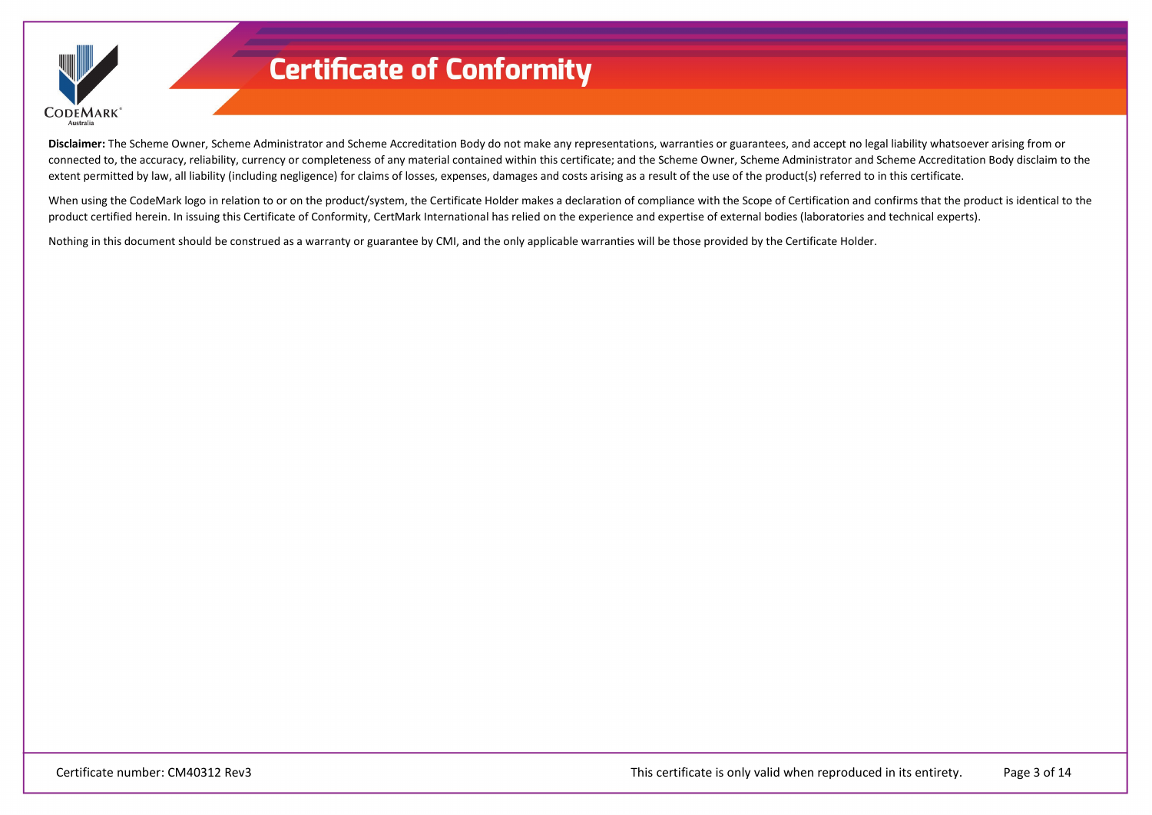

**Disclaimer:** The Scheme Owner, Scheme Administrator and Scheme Accreditation Body do not make any representations, warranties or guarantees, and accept no legal liability whatsoever arising from or connected to, the accuracy, reliability, currency or completeness of any material contained within this certificate; and the Scheme Owner, Scheme Administrator and Scheme Accreditation Body disclaim to the extent permitted by law, all liability (including negligence) for claims of losses, expenses, damages and costs arising as a result of the use of the product(s) referred to in this certificate.

When using the CodeMark logo in relation to or on the product/system, the Certificate Holder makes a declaration of compliance with the Scope of Certification and confirms that the product is identical to the product certified herein. In issuing this Certificate of Conformity, CertMark International has relied on the experience and expertise of external bodies (laboratories and technical experts).

Nothing in this document should be construed as a warranty or guarantee by CMI, and the only applicable warranties will be those provided by the Certificate Holder.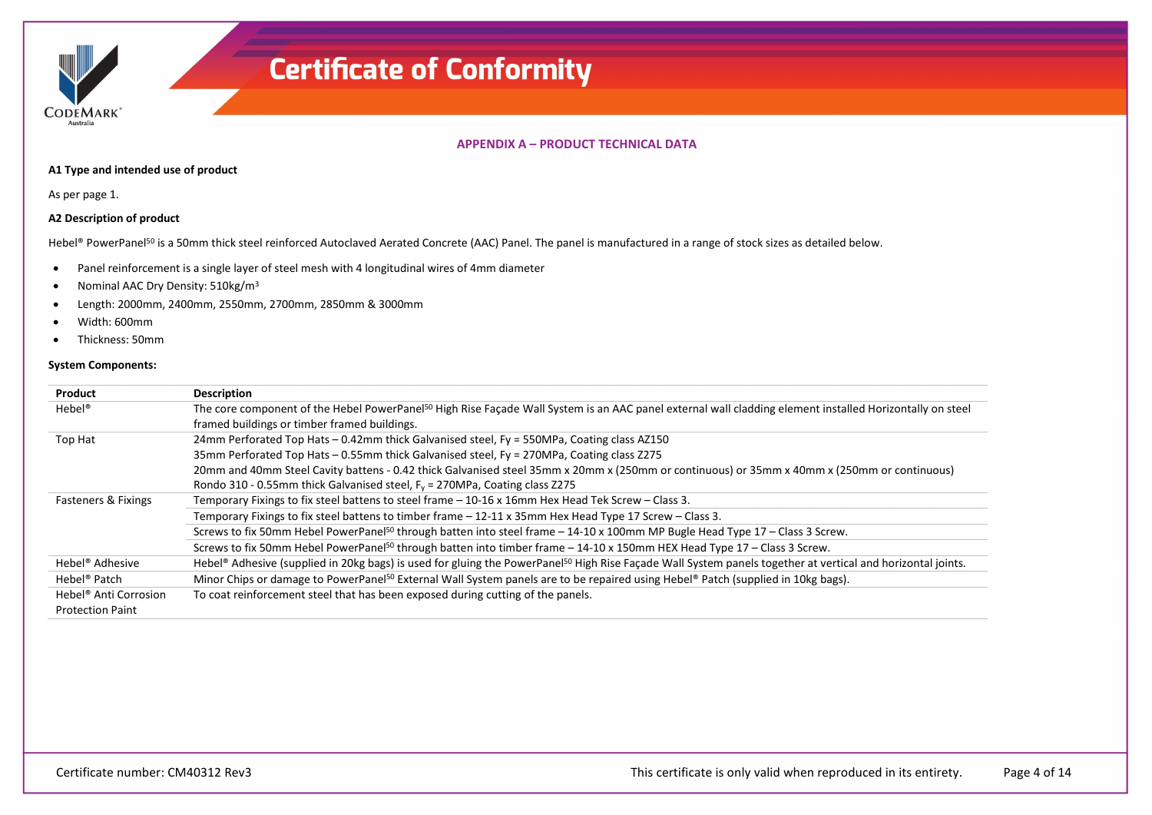

#### **APPENDIX A – PRODUCT TECHNICAL DATA**

#### **A1 Type and intended use of product**

As per page 1.

#### **A2 Description of product**

Hebel® PowerPanel<sup>50</sup> is a 50mm thick steel reinforced Autoclaved Aerated Concrete (AAC) Panel. The panel is manufactured in a range of stock sizes as detailed below.

- Panel reinforcement is a single layer of steel mesh with 4 longitudinal wires of 4mm diameter
- Nominal AAC Dry Density: 510kg/m<sup>3</sup>
- Length: 2000mm, 2400mm, 2550mm, 2700mm, 2850mm & 3000mm
- Width: 600mm
- Thickness: 50mm

#### **System Components:**

| Product                           | <b>Description</b>                                                                                                                                                      |
|-----------------------------------|-------------------------------------------------------------------------------------------------------------------------------------------------------------------------|
| $Hebel^*$                         | The core component of the Hebel PowerPanel <sup>50</sup> High Rise Façade Wall System is an AAC panel external wall cladding element installed Horizontally on steel    |
|                                   | framed buildings or timber framed buildings.                                                                                                                            |
| Top Hat                           | 24mm Perforated Top Hats - 0.42mm thick Galvanised steel, Fy = 550MPa, Coating class AZ150                                                                              |
|                                   | 35mm Perforated Top Hats - 0.55mm thick Galvanised steel, Fy = 270MPa, Coating class Z275                                                                               |
|                                   | 20mm and 40mm Steel Cavity battens - 0.42 thick Galvanised steel 35mm x 20mm x (250mm or continuous) or 35mm x 40mm x (250mm or continuous)                             |
|                                   | Rondo 310 - 0.55mm thick Galvanised steel, $F_y = 270 MPa$ , Coating class Z275                                                                                         |
| Fasteners & Fixings               | Temporary Fixings to fix steel battens to steel frame - 10-16 x 16mm Hex Head Tek Screw - Class 3.                                                                      |
|                                   | Temporary Fixings to fix steel battens to timber frame - 12-11 x 35mm Hex Head Type 17 Screw - Class 3.                                                                 |
|                                   | Screws to fix 50mm Hebel PowerPanel <sup>50</sup> through batten into steel frame - 14-10 x 100mm MP Bugle Head Type 17 - Class 3 Screw.                                |
|                                   | Screws to fix 50mm Hebel PowerPanel <sup>50</sup> through batten into timber frame - 14-10 x 150mm HEX Head Type 17 - Class 3 Screw.                                    |
| Hebel <sup>®</sup> Adhesive       | Hebel® Adhesive (supplied in 20kg bags) is used for gluing the PowerPanel <sup>50</sup> High Rise Façade Wall System panels together at vertical and horizontal joints. |
| Hebel <sup>®</sup> Patch          | Minor Chips or damage to PowerPanel <sup>50</sup> External Wall System panels are to be repaired using Hebel <sup>®</sup> Patch (supplied in 10kg bags).                |
| Hebel <sup>®</sup> Anti Corrosion | To coat reinforcement steel that has been exposed during cutting of the panels.                                                                                         |
| <b>Protection Paint</b>           |                                                                                                                                                                         |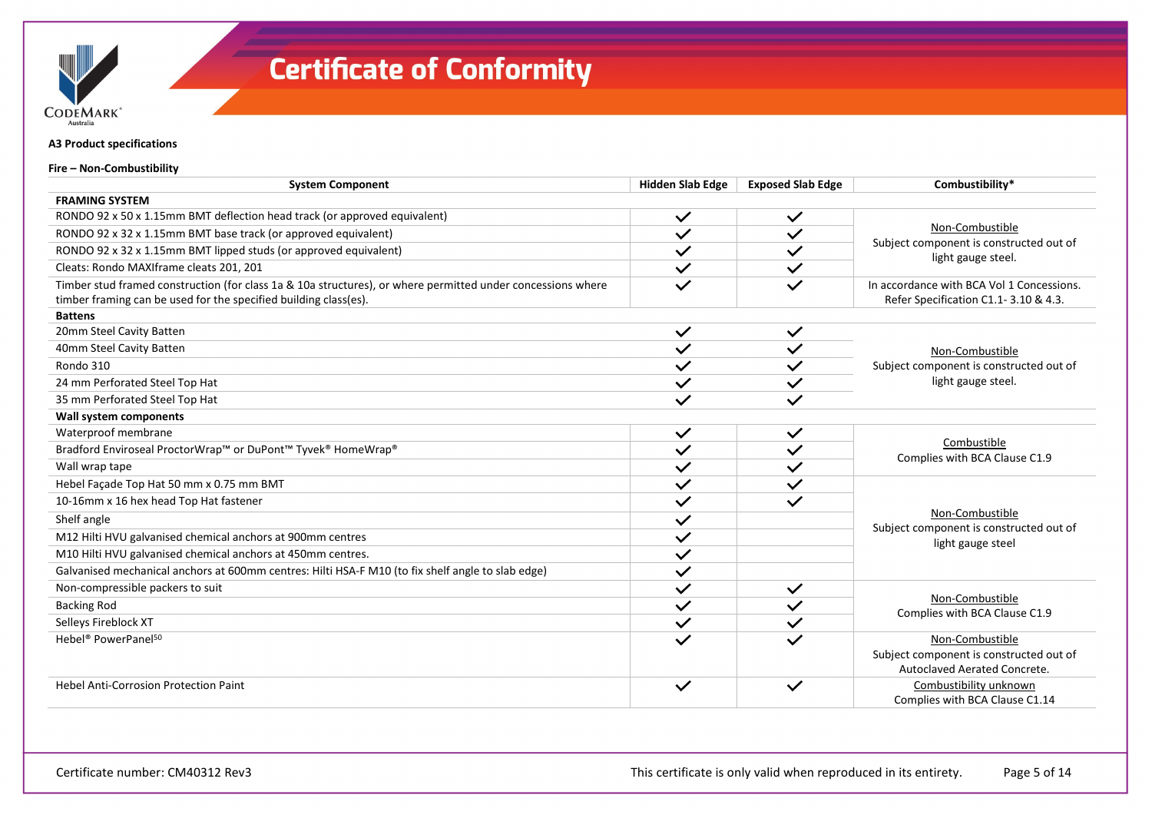

**A3 Product specifications**

**Fire – Non-Combustibility**

| <b>System Component</b>                                                                                     | <b>Hidden Slab Edge</b> | <b>Exposed Slab Edge</b> | Combustibility*                                               |
|-------------------------------------------------------------------------------------------------------------|-------------------------|--------------------------|---------------------------------------------------------------|
| <b>FRAMING SYSTEM</b>                                                                                       |                         |                          |                                                               |
| RONDO 92 x 50 x 1.15mm BMT deflection head track (or approved equivalent)                                   | $\checkmark$            | $\checkmark$             |                                                               |
| RONDO 92 x 32 x 1.15mm BMT base track (or approved equivalent)                                              | $\checkmark$            | $\checkmark$             | Non-Combustible                                               |
| RONDO 92 x 32 x 1.15mm BMT lipped studs (or approved equivalent)                                            | $\checkmark$            | $\checkmark$             | Subject component is constructed out of<br>light gauge steel. |
| Cleats: Rondo MAXIframe cleats 201, 201                                                                     | $\checkmark$            | $\checkmark$             |                                                               |
| Timber stud framed construction (for class 1a & 10a structures), or where permitted under concessions where |                         |                          | In accordance with BCA Vol 1 Concessions.                     |
| timber framing can be used for the specified building class(es).                                            |                         |                          | Refer Specification C1.1-3.10 & 4.3.                          |
| <b>Battens</b>                                                                                              |                         |                          |                                                               |
| 20mm Steel Cavity Batten                                                                                    | $\checkmark$            | $\checkmark$             |                                                               |
| 40mm Steel Cavity Batten                                                                                    | $\checkmark$            | $\checkmark$             | Non-Combustible                                               |
| Rondo 310                                                                                                   | $\checkmark$            | $\checkmark$             | Subject component is constructed out of                       |
| 24 mm Perforated Steel Top Hat                                                                              | $\checkmark$            | $\checkmark$             | light gauge steel.                                            |
| 35 mm Perforated Steel Top Hat                                                                              | $\checkmark$            | $\checkmark$             |                                                               |
| Wall system components                                                                                      |                         |                          |                                                               |
| Waterproof membrane                                                                                         | $\checkmark$            | $\checkmark$             |                                                               |
| Bradford Enviroseal ProctorWrap™ or DuPont™ Tyvek® HomeWrap®                                                | $\checkmark$            | $\checkmark$             | Combustible<br>Complies with BCA Clause C1.9                  |
| Wall wrap tape                                                                                              | $\checkmark$            | $\checkmark$             |                                                               |
| Hebel Façade Top Hat 50 mm x 0.75 mm BMT                                                                    | $\checkmark$            | $\checkmark$             |                                                               |
| 10-16mm x 16 hex head Top Hat fastener                                                                      | $\checkmark$            | $\checkmark$             |                                                               |
| Shelf angle                                                                                                 | $\checkmark$            |                          | Non-Combustible<br>Subject component is constructed out of    |
| M12 Hilti HVU galvanised chemical anchors at 900mm centres                                                  | $\checkmark$            |                          | light gauge steel                                             |
| M10 Hilti HVU galvanised chemical anchors at 450mm centres.                                                 | $\checkmark$            |                          |                                                               |
| Galvanised mechanical anchors at 600mm centres: Hilti HSA-F M10 (to fix shelf angle to slab edge)           | $\checkmark$            |                          |                                                               |
| Non-compressible packers to suit                                                                            | $\checkmark$            | $\checkmark$             |                                                               |
| <b>Backing Rod</b>                                                                                          | $\checkmark$            | $\checkmark$             | Non-Combustible<br>Complies with BCA Clause C1.9              |
| Selleys Fireblock XT                                                                                        | $\checkmark$            |                          |                                                               |
| Hebel <sup>®</sup> PowerPanel <sup>50</sup>                                                                 |                         |                          | Non-Combustible                                               |
|                                                                                                             |                         |                          | Subject component is constructed out of                       |
|                                                                                                             |                         |                          | Autoclaved Aerated Concrete.                                  |
| <b>Hebel Anti-Corrosion Protection Paint</b>                                                                | $\checkmark$            | $\checkmark$             | Combustibility unknown                                        |
|                                                                                                             |                         |                          | Complies with BCA Clause C1.14                                |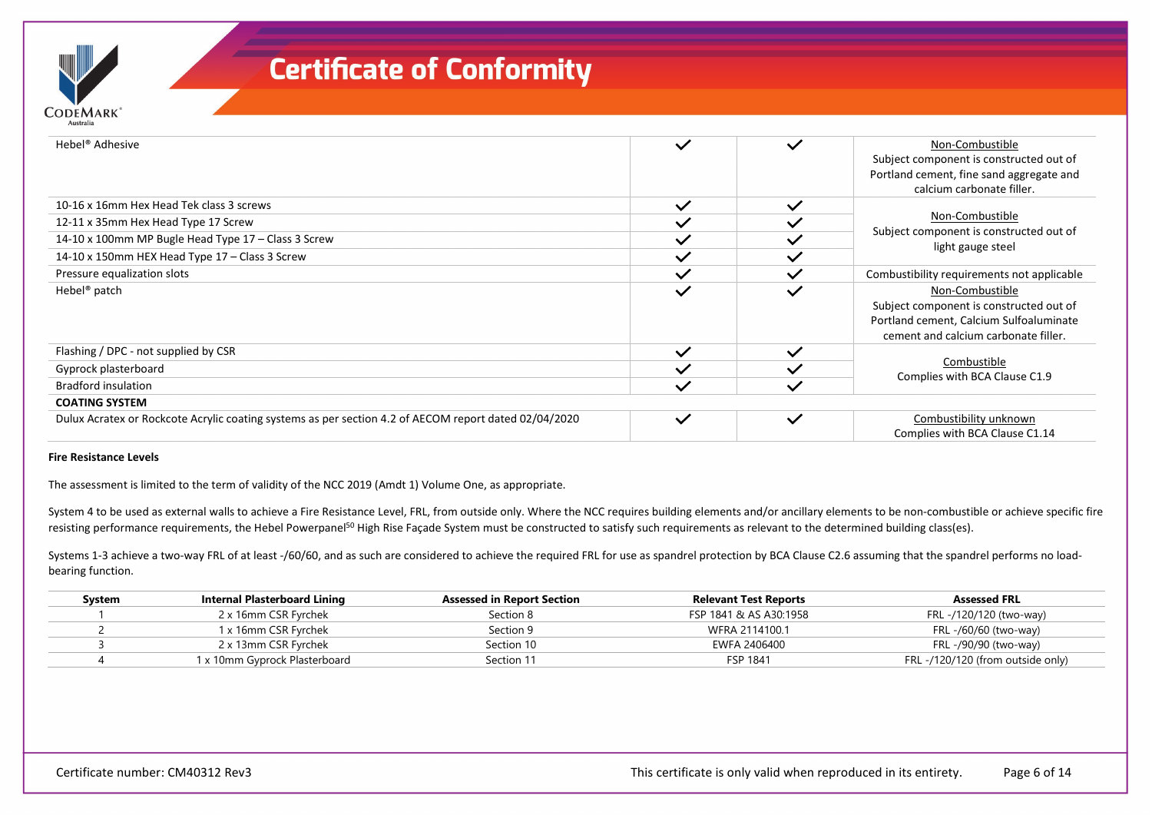| Hebel <sup>®</sup> Adhesive                                                                           | $\checkmark$ | $\checkmark$             | Non-Combustible<br>Subject component is constructed out of                                                                                    |
|-------------------------------------------------------------------------------------------------------|--------------|--------------------------|-----------------------------------------------------------------------------------------------------------------------------------------------|
|                                                                                                       |              |                          | Portland cement, fine sand aggregate and<br>calcium carbonate filler.                                                                         |
| 10-16 x 16mm Hex Head Tek class 3 screws                                                              | $\checkmark$ | $\checkmark$             |                                                                                                                                               |
| 12-11 x 35mm Hex Head Type 17 Screw                                                                   |              |                          | Non-Combustible                                                                                                                               |
| 14-10 x 100mm MP Bugle Head Type 17 - Class 3 Screw                                                   |              | $\checkmark$             | Subject component is constructed out of                                                                                                       |
| 14-10 x 150mm HEX Head Type 17 - Class 3 Screw                                                        | $\checkmark$ | $\checkmark$             | light gauge steel                                                                                                                             |
| Pressure equalization slots                                                                           | $\checkmark$ | $\checkmark$             | Combustibility requirements not applicable                                                                                                    |
| Hebel <sup>®</sup> patch                                                                              | $\checkmark$ | $\checkmark$             | Non-Combustible<br>Subject component is constructed out of<br>Portland cement, Calcium Sulfoaluminate<br>cement and calcium carbonate filler. |
| Flashing / DPC - not supplied by CSR                                                                  | $\checkmark$ | $\checkmark$             |                                                                                                                                               |
| Gyprock plasterboard                                                                                  |              |                          | Combustible                                                                                                                                   |
| <b>Bradford insulation</b>                                                                            |              | $\overline{\phantom{a}}$ | Complies with BCA Clause C1.9                                                                                                                 |
| <b>COATING SYSTEM</b>                                                                                 |              |                          |                                                                                                                                               |
| Dulux Acratex or Rockcote Acrylic coating systems as per section 4.2 of AECOM report dated 02/04/2020 | $\checkmark$ | $\checkmark$             | Combustibility unknown<br>Complies with BCA Clause C1.14                                                                                      |

#### **Fire Resistance Levels**

**CODEMARK** 

The assessment is limited to the term of validity of the NCC 2019 (Amdt 1) Volume One, as appropriate.

System 4 to be used as external walls to achieve a Fire Resistance Level, FRL, from outside only. Where the NCC requires building elements and/or ancillary elements to be non-combustible or achieve specific fire resisting performance requirements, the Hebel Powerpanel<sup>50</sup> High Rise Façade System must be constructed to satisfy such requirements as relevant to the determined building class(es).

Systems 1-3 achieve a two-way FRL of at least -/60/60, and as such are considered to achieve the required FRL for use as spandrel protection by BCA Clause C2.6 assuming that the spandrel performs no loadbearing function.

| System | Internal Plasterboard Lining  | <b>Assessed in Report Section</b> | <b>Relevant Test Reports</b> | <b>Assessed FRL</b>               |
|--------|-------------------------------|-----------------------------------|------------------------------|-----------------------------------|
|        | 2 x 16mm CSR Fyrchek          | Section 8                         | FSP 1841 & AS A30:1958       | FRL -/120/120 (two-way)           |
|        | 1 x 16mm CSR Fyrchek          | Section 9                         | WFRA 2114100.1               | FRL -/60/60 (two-way)             |
|        | 2 x 13mm CSR Fyrchek          | Section 10                        | EWFA 2406400                 | FRL -/90/90 (two-way)             |
|        | 1 x 10mm Gyprock Plasterboard | Section 11                        | FSP 1841                     | FRL -/120/120 (from outside only) |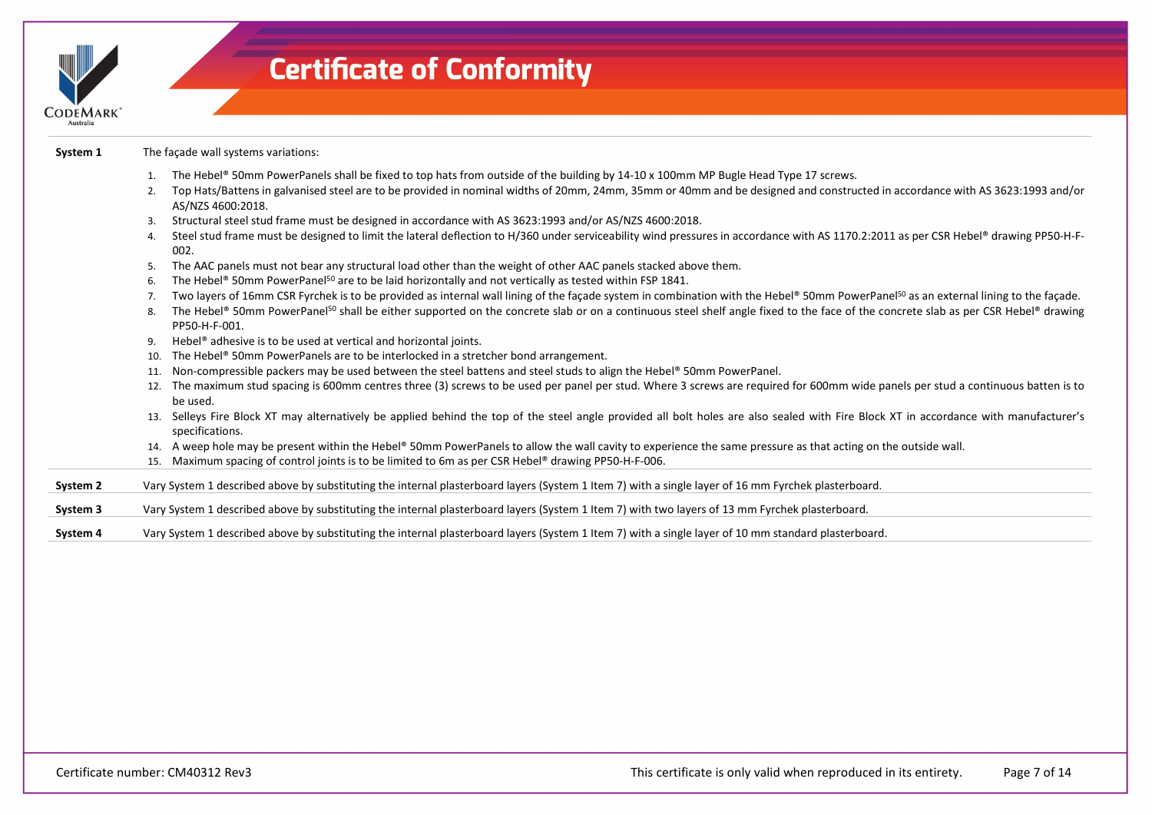| <b>CODEMARK</b> | <b>Certificate of Conformity</b>                                                                                                                                                                                                                                                                                                                                                                                        |
|-----------------|-------------------------------------------------------------------------------------------------------------------------------------------------------------------------------------------------------------------------------------------------------------------------------------------------------------------------------------------------------------------------------------------------------------------------|
| System 1        | The façade wall systems variations:                                                                                                                                                                                                                                                                                                                                                                                     |
|                 | The Hebel® 50mm PowerPanels shall be fixed to top hats from outside of the building by 14-10 x 100mm MP Bugle Head Type 17 screws.<br>Top Hats/Battens in galvanised steel are to be provided in nominal widths of 20mm, 24mm, 35mm or 40mm and be designed and constructed in accordance with AS 3623:1993 and/or<br>2.<br>AS/NZS 4600:2018.                                                                           |
|                 | Structural steel stud frame must be designed in accordance with AS 3623:1993 and/or AS/NZS 4600:2018.<br>3.                                                                                                                                                                                                                                                                                                             |
|                 | Steel stud frame must be designed to limit the lateral deflection to H/360 under serviceability wind pressures in accordance with AS 1170.2:2011 as per CSR Hebel® drawing PP50-H-F-<br>4.<br>002.                                                                                                                                                                                                                      |
|                 | The AAC panels must not bear any structural load other than the weight of other AAC panels stacked above them.<br>5.                                                                                                                                                                                                                                                                                                    |
|                 | The Hebel® 50mm PowerPanel <sup>50</sup> are to be laid horizontally and not vertically as tested within FSP 1841.<br>6.                                                                                                                                                                                                                                                                                                |
|                 | Two layers of 16mm CSR Fyrchek is to be provided as internal wall lining of the façade system in combination with the Hebel® 50mm PowerPanel <sup>50</sup> as an external lining to the façade.<br>The Hebel® 50mm PowerPanel <sup>50</sup> shall be either supported on the concrete slab or on a continuous steel shelf angle fixed to the face of the concrete slab as per CSR Hebel® drawing<br>8.<br>PP50-H-F-001. |
|                 | Hebel® adhesive is to be used at vertical and horizontal joints.<br>9.                                                                                                                                                                                                                                                                                                                                                  |
|                 | The Hebel® 50mm PowerPanels are to be interlocked in a stretcher bond arrangement.<br>10.                                                                                                                                                                                                                                                                                                                               |
|                 | Non-compressible packers may be used between the steel battens and steel studs to align the Hebel® 50mm PowerPanel.<br>11.                                                                                                                                                                                                                                                                                              |
|                 | 12. The maximum stud spacing is 600mm centres three (3) screws to be used per panel per stud. Where 3 screws are required for 600mm wide panels per stud a continuous batten is to<br>be used.                                                                                                                                                                                                                          |
|                 | 13. Selleys Fire Block XT may alternatively be applied behind the top of the steel angle provided all bolt holes are also sealed with Fire Block XT in accordance with manufacturer's<br>specifications.                                                                                                                                                                                                                |
|                 | 14. A weep hole may be present within the Hebel® 50mm PowerPanels to allow the wall cavity to experience the same pressure as that acting on the outside wall.                                                                                                                                                                                                                                                          |
|                 | 15. Maximum spacing of control joints is to be limited to 6m as per CSR Hebel® drawing PP50-H-F-006.                                                                                                                                                                                                                                                                                                                    |
| System 2        | Vary System 1 described above by substituting the internal plasterboard layers (System 1 Item 7) with a single layer of 16 mm Fyrchek plasterboard.                                                                                                                                                                                                                                                                     |
| System 3        | Vary System 1 described above by substituting the internal plasterboard layers (System 1 Item 7) with two layers of 13 mm Fyrchek plasterboard.                                                                                                                                                                                                                                                                         |
| System 4        | Vary System 1 described above by substituting the internal plasterboard layers (System 1 Item 7) with a single layer of 10 mm standard plasterboard.                                                                                                                                                                                                                                                                    |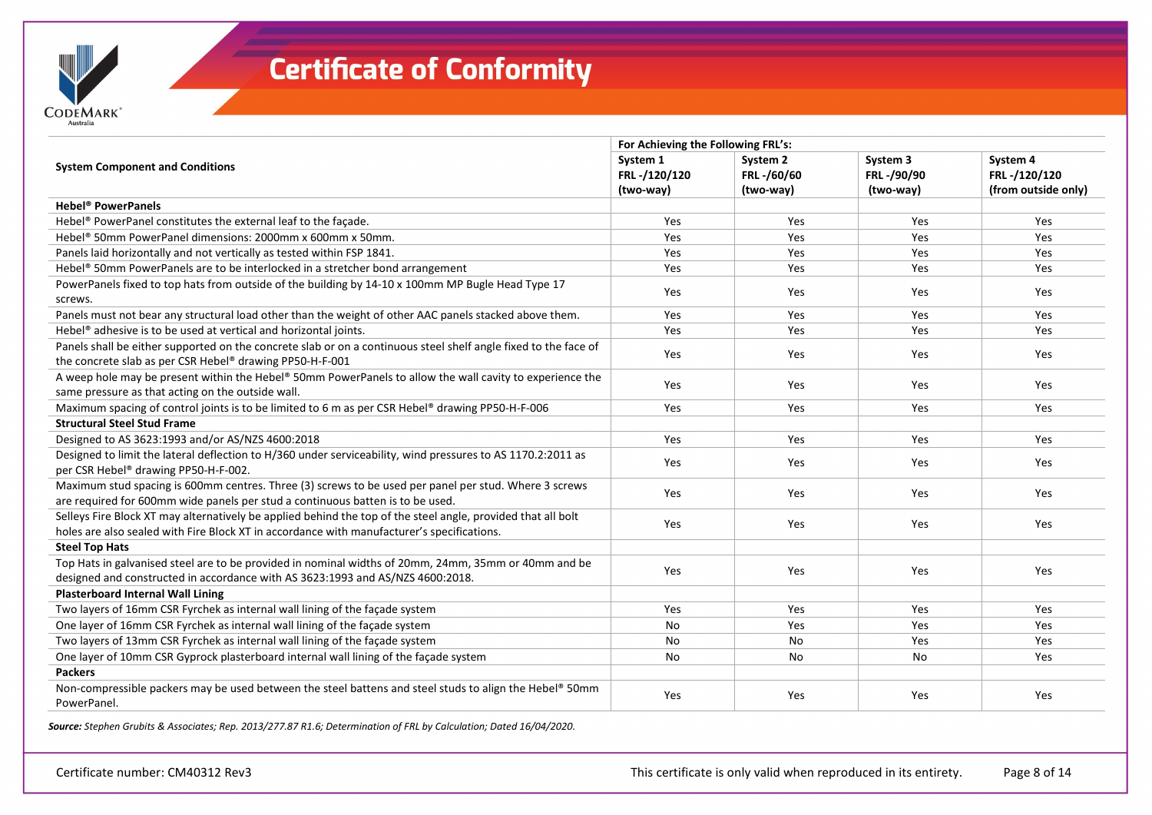

| System 1                                                                                                 | System 2                         | System 3                                                             | System 4                            |
|----------------------------------------------------------------------------------------------------------|----------------------------------|----------------------------------------------------------------------|-------------------------------------|
|                                                                                                          |                                  |                                                                      | FRL-/120/120<br>(from outside only) |
|                                                                                                          |                                  |                                                                      |                                     |
| Yes                                                                                                      | Yes                              | Yes                                                                  | Yes                                 |
| Yes                                                                                                      | Yes                              | Yes                                                                  | Yes                                 |
| Yes                                                                                                      | Yes                              | Yes                                                                  | Yes                                 |
| Yes                                                                                                      | Yes                              | Yes                                                                  | Yes                                 |
| Yes                                                                                                      | Yes                              | Yes                                                                  | Yes                                 |
| Yes                                                                                                      | Yes                              | Yes                                                                  | Yes                                 |
| Yes                                                                                                      | Yes                              | Yes                                                                  | Yes                                 |
| Yes                                                                                                      | Yes                              | Yes                                                                  | Yes                                 |
| Yes                                                                                                      | Yes                              | Yes                                                                  | Yes                                 |
|                                                                                                          |                                  | Yes                                                                  | Yes                                 |
|                                                                                                          |                                  |                                                                      |                                     |
| Yes                                                                                                      | Yes                              | Yes                                                                  | Yes                                 |
| Yes                                                                                                      | Yes                              | Yes                                                                  | Yes                                 |
| Yes                                                                                                      | Yes                              | Yes                                                                  | Yes                                 |
| Yes                                                                                                      | Yes                              | Yes                                                                  | Yes                                 |
|                                                                                                          |                                  |                                                                      |                                     |
| Yes                                                                                                      | Yes                              | Yes                                                                  | Yes                                 |
|                                                                                                          |                                  |                                                                      |                                     |
| Yes                                                                                                      | Yes                              | Yes                                                                  | Yes                                 |
| No                                                                                                       | Yes                              | Yes                                                                  | Yes                                 |
| No                                                                                                       | No                               | Yes                                                                  | Yes                                 |
| No                                                                                                       | No                               | No                                                                   | Yes                                 |
|                                                                                                          |                                  |                                                                      |                                     |
| Yes                                                                                                      | Yes                              | Yes                                                                  | Yes                                 |
| A weep hole may be present within the Hebel® 50mm PowerPanels to allow the wall cavity to experience the | FRL-/120/120<br>(two-way)<br>Yes | For Achieving the Following FRL's:<br>FRL-/60/60<br>(two-way)<br>Yes | FRL-/90/90<br>(two-way)             |

*Source: Stephen Grubits & Associates; Rep. 2013/277.87 R1.6; Determination of FRL by Calculation; Dated 16/04/2020.*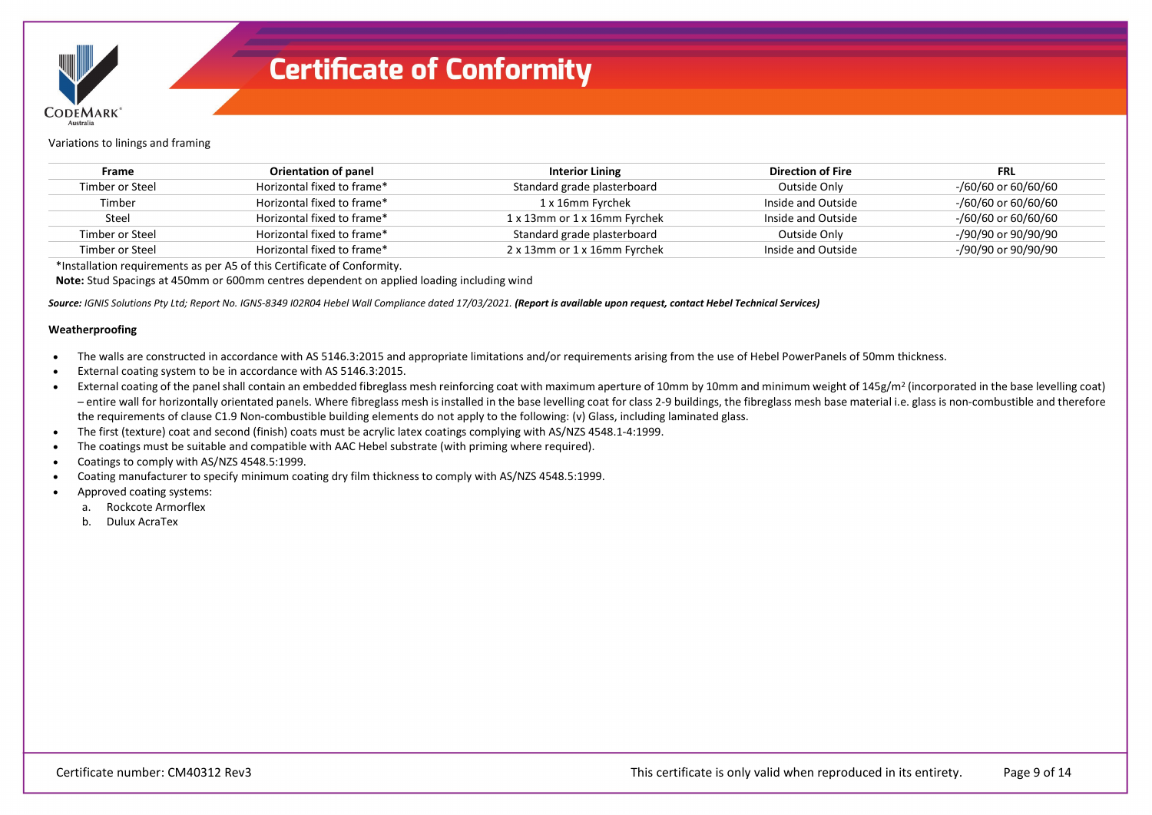

Variations to linings and framing

| <b>Frame</b>    | Orientation of panel       | <b>Interior Lining</b>       | Direction of Fire  | <b>FRL</b>          |
|-----------------|----------------------------|------------------------------|--------------------|---------------------|
| Timber or Steel | Horizontal fixed to frame* | Standard grade plasterboard  | Outside Only       | -/60/60 or 60/60/60 |
| Timber          | Horizontal fixed to frame* | 1 x 16mm Fyrchek             | Inside and Outside | -/60/60 or 60/60/60 |
| Steel           | Horizontal fixed to frame* | 1 x 13mm or 1 x 16mm Fyrchek | Inside and Outside | -/60/60 or 60/60/60 |
| Timber or Steel | Horizontal fixed to frame* | Standard grade plasterboard  | Outside Only       | -/90/90 or 90/90/90 |
| Timber or Steel | Horizontal fixed to frame* | 2 x 13mm or 1 x 16mm Fyrchek | Inside and Outside | -/90/90 or 90/90/90 |

\*Installation requirements as per A5 of this Certificate of Conformity.

**Note:** Stud Spacings at 450mm or 600mm centres dependent on applied loading including wind

Source: IGNIS Solutions Pty Ltd; Report No. IGNS-8349 I02R04 Hebel Wall Compliance dated 17/03/2021. **(Report is available upon request, contact Hebel Technical Services)** 

#### **Weatherproofing**

- The walls are constructed in accordance with AS 5146.3:2015 and appropriate limitations and/or requirements arising from the use of Hebel PowerPanels of 50mm thickness.
- External coating system to be in accordance with AS 5146.3:2015.
- External coating of the panel shall contain an embedded fibreglass mesh reinforcing coat with maximum aperture of 10mm by 10mm and minimum weight of 145g/m<sup>2</sup> (incorporated in the base levelling coat) – entire wall for horizontally orientated panels. Where fibreglass mesh is installed in the base levelling coat for class 2-9 buildings, the fibreglass mesh base material i.e. glass is non-combustible and therefore the requirements of clause C1.9 Non-combustible building elements do not apply to the following: (v) Glass, including laminated glass.
- The first (texture) coat and second (finish) coats must be acrylic latex coatings complying with AS/NZS 4548.1-4:1999.
- The coatings must be suitable and compatible with AAC Hebel substrate (with priming where required).
- Coatings to comply with AS/NZS 4548.5:1999.
- Coating manufacturer to specify minimum coating dry film thickness to comply with AS/NZS 4548.5:1999.
- Approved coating systems:
	- a. Rockcote Armorflex
	- b. Dulux AcraTex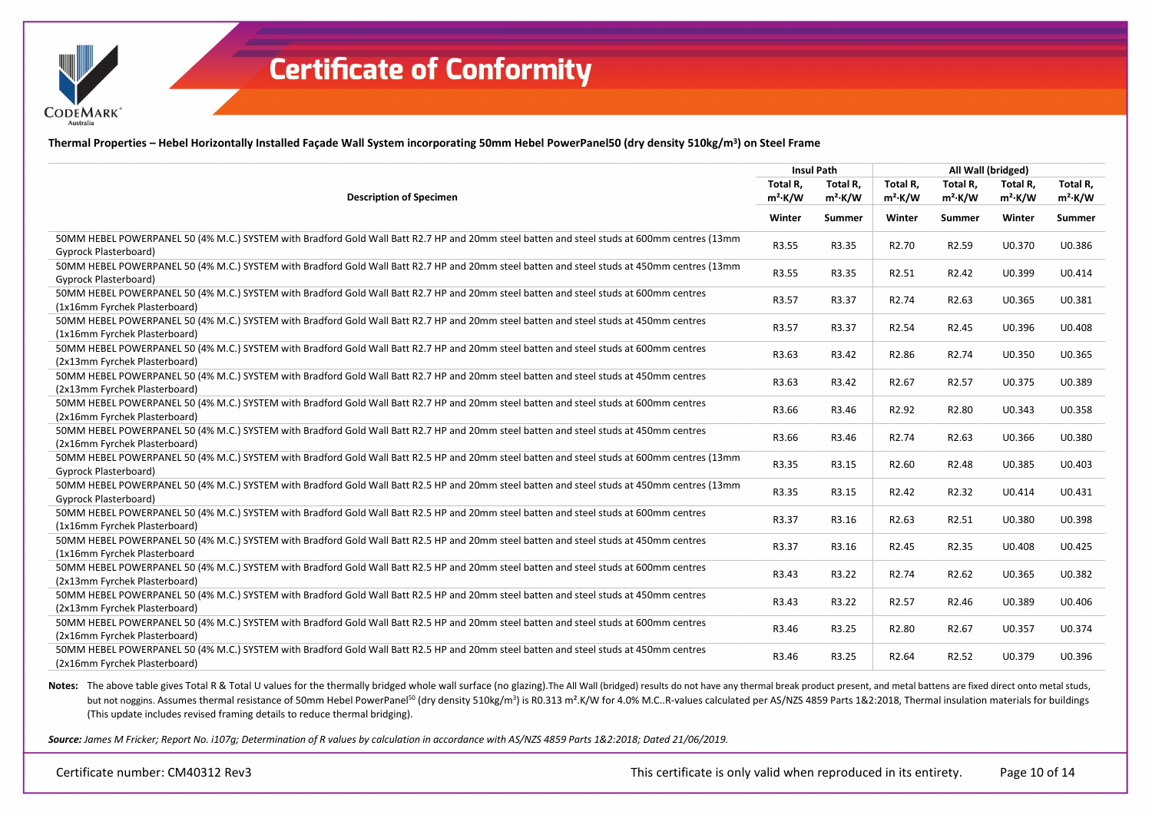

**Thermal Properties – Hebel Horizontally Installed Façade Wall System incorporating 50mm Hebel PowerPanel50 (dry density 510kg/m3) on Steel Frame**

|                                                                                                                                                                        | <b>Insul Path</b> |            | All Wall (bridged) |                   |            |            |  |
|------------------------------------------------------------------------------------------------------------------------------------------------------------------------|-------------------|------------|--------------------|-------------------|------------|------------|--|
|                                                                                                                                                                        | Total R,          | Total R,   | Total R,           | Total R,          | Total R,   | Total R,   |  |
| <b>Description of Specimen</b>                                                                                                                                         | $m^2$ ·K/W        | $m^2$ ·K/W | $m^2$ ·K/W         | $m^2$ ·K/W        | $m^2$ ·K/W | $m^2$ ·K/W |  |
|                                                                                                                                                                        | Winter            | Summer     | Winter             | Summer            | Winter     | Summer     |  |
| 50MM HEBEL POWERPANEL 50 (4% M.C.) SYSTEM with Bradford Gold Wall Batt R2.7 HP and 20mm steel batten and steel studs at 600mm centres (13mm<br>Gyprock Plasterboard)   | R3.55             | R3.35      | R <sub>2.70</sub>  | R2.59             | U0.370     | U0.386     |  |
| 50MM HEBEL POWERPANEL 50 (4% M.C.) SYSTEM with Bradford Gold Wall Batt R2.7 HP and 20mm steel batten and steel studs at 450mm centres (13mm<br>Gyprock Plasterboard)   | R3.55             | R3.35      | R2.51              | R <sub>2.42</sub> | U0.399     | U0.414     |  |
| 50MM HEBEL POWERPANEL 50 (4% M.C.) SYSTEM with Bradford Gold Wall Batt R2.7 HP and 20mm steel batten and steel studs at 600mm centres<br>(1x16mm Fyrchek Plasterboard) | R3.57             | R3.37      | R <sub>2.74</sub>  | R2.63             | U0.365     | U0.381     |  |
| 50MM HEBEL POWERPANEL 50 (4% M.C.) SYSTEM with Bradford Gold Wall Batt R2.7 HP and 20mm steel batten and steel studs at 450mm centres<br>(1x16mm Fyrchek Plasterboard) | R3.57             | R3.37      | R2.54              | R <sub>2.45</sub> | U0.396     | U0.408     |  |
| 50MM HEBEL POWERPANEL 50 (4% M.C.) SYSTEM with Bradford Gold Wall Batt R2.7 HP and 20mm steel batten and steel studs at 600mm centres<br>(2x13mm Fyrchek Plasterboard) | R3.63             | R3.42      | R2.86              | R2.74             | U0.350     | U0.365     |  |
| 50MM HEBEL POWERPANEL 50 (4% M.C.) SYSTEM with Bradford Gold Wall Batt R2.7 HP and 20mm steel batten and steel studs at 450mm centres<br>(2x13mm Fyrchek Plasterboard) | R3.63             | R3.42      | R <sub>2.67</sub>  | R2.57             | U0.375     | U0.389     |  |
| 50MM HEBEL POWERPANEL 50 (4% M.C.) SYSTEM with Bradford Gold Wall Batt R2.7 HP and 20mm steel batten and steel studs at 600mm centres<br>(2x16mm Fyrchek Plasterboard) | R3.66             | R3.46      | R2.92              | R2.80             | U0.343     | U0.358     |  |
| 50MM HEBEL POWERPANEL 50 (4% M.C.) SYSTEM with Bradford Gold Wall Batt R2.7 HP and 20mm steel batten and steel studs at 450mm centres<br>(2x16mm Fyrchek Plasterboard) | R3.66             | R3.46      | R <sub>2.74</sub>  | R2.63             | U0.366     | U0.380     |  |
| 50MM HEBEL POWERPANEL 50 (4% M.C.) SYSTEM with Bradford Gold Wall Batt R2.5 HP and 20mm steel batten and steel studs at 600mm centres (13mm<br>Gyprock Plasterboard)   | R3.35             | R3.15      | R2.60              | R <sub>2.48</sub> | U0.385     | U0.403     |  |
| 50MM HEBEL POWERPANEL 50 (4% M.C.) SYSTEM with Bradford Gold Wall Batt R2.5 HP and 20mm steel batten and steel studs at 450mm centres (13mm<br>Gyprock Plasterboard)   | R3.35             | R3.15      | R <sub>2.42</sub>  | R2.32             | U0.414     | U0.431     |  |
| 50MM HEBEL POWERPANEL 50 (4% M.C.) SYSTEM with Bradford Gold Wall Batt R2.5 HP and 20mm steel batten and steel studs at 600mm centres<br>(1x16mm Fyrchek Plasterboard) | R3.37             | R3.16      | R2.63              | R2.51             | U0.380     | U0.398     |  |
| 50MM HEBEL POWERPANEL 50 (4% M.C.) SYSTEM with Bradford Gold Wall Batt R2.5 HP and 20mm steel batten and steel studs at 450mm centres<br>(1x16mm Fyrchek Plasterboard  | R3.37             | R3.16      | R <sub>2.45</sub>  | R2.35             | U0.408     | U0.425     |  |
| 50MM HEBEL POWERPANEL 50 (4% M.C.) SYSTEM with Bradford Gold Wall Batt R2.5 HP and 20mm steel batten and steel studs at 600mm centres<br>(2x13mm Fyrchek Plasterboard) | R3.43             | R3.22      | R <sub>2.74</sub>  | R2.62             | U0.365     | U0.382     |  |
| 50MM HEBEL POWERPANEL 50 (4% M.C.) SYSTEM with Bradford Gold Wall Batt R2.5 HP and 20mm steel batten and steel studs at 450mm centres<br>(2x13mm Fyrchek Plasterboard) | R3.43             | R3.22      | R2.57              | R <sub>2.46</sub> | U0.389     | U0.406     |  |
| 50MM HEBEL POWERPANEL 50 (4% M.C.) SYSTEM with Bradford Gold Wall Batt R2.5 HP and 20mm steel batten and steel studs at 600mm centres<br>(2x16mm Fyrchek Plasterboard) | R3.46             | R3.25      | R2.80              | R2.67             | U0.357     | U0.374     |  |
| 50MM HEBEL POWERPANEL 50 (4% M.C.) SYSTEM with Bradford Gold Wall Batt R2.5 HP and 20mm steel batten and steel studs at 450mm centres<br>(2x16mm Fyrchek Plasterboard) | R3.46             | R3.25      | R2.64              | R2.52             | U0.379     | U0.396     |  |

Notes: The above table gives Total R & Total U values for the thermally bridged whole wall surface (no glazing). The All Wall (bridged) results do not have any thermal break product present, and metal battens are fixed dir but not noggins. Assumes thermal resistance of 50mm Hebel PowerPanel<sup>50</sup> (dry density 510kg/m<sup>3</sup>) is R0.313 m<sup>2</sup>.K/W for 4.0% M.C..R-values calculated per AS/NZS 4859 Parts 1&2:2018, Thermal insulation materials for buildi (This update includes revised framing details to reduce thermal bridging).

*Source: James M Fricker; Report No. i107g; Determination of R values by calculation in accordance with AS/NZS 4859 Parts 1&2:2018; Dated 21/06/2019.*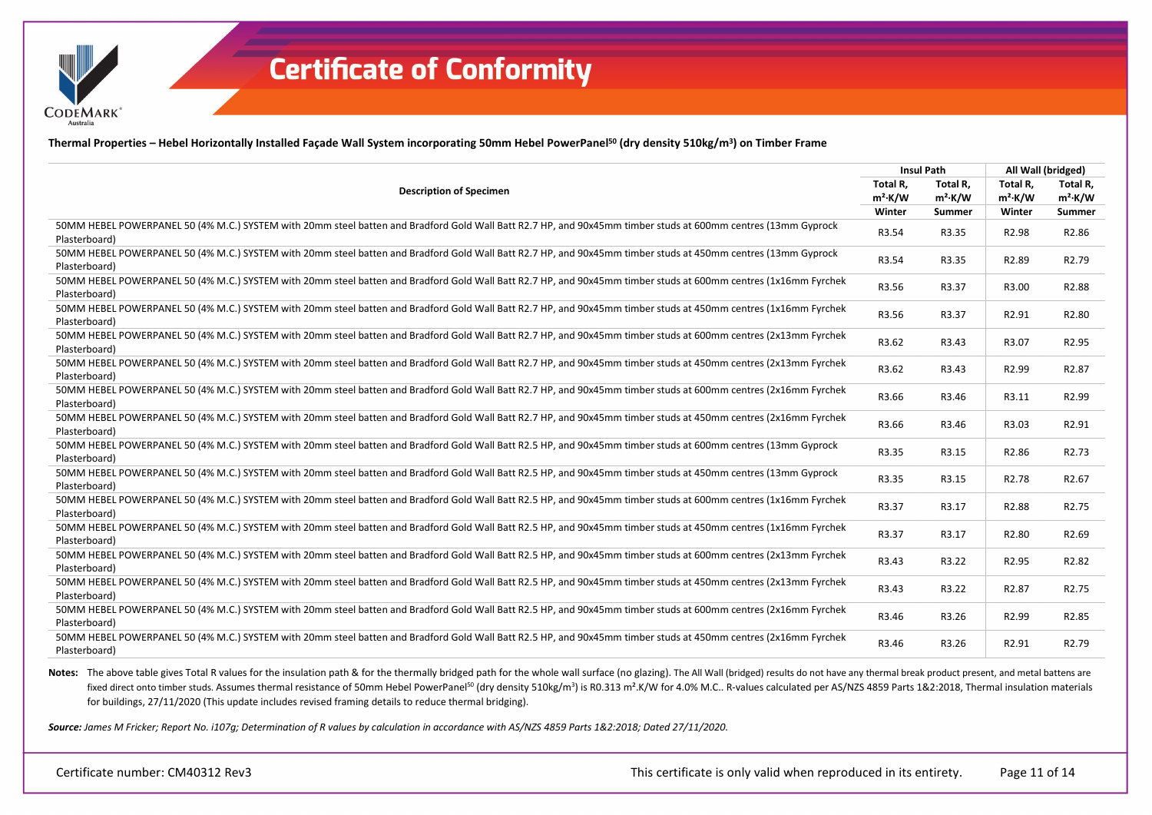

**CODEMARK** 

**Thermal Properties – Hebel Horizontally Installed Façade Wall System incorporating 50mm Hebel PowerPanel50 (dry density 510kg/m3) on Timber Frame**

|                                                                                                                                                                                  |                        |                        | All Wall (bridged)     |                        |
|----------------------------------------------------------------------------------------------------------------------------------------------------------------------------------|------------------------|------------------------|------------------------|------------------------|
| <b>Description of Specimen</b>                                                                                                                                                   | Total R,<br>$m^2$ ·K/W | Total R,<br>$m^2$ ·K/W | Total R.<br>$m^2$ ·K/W | Total R.<br>$m^2$ ·K/W |
|                                                                                                                                                                                  | Winter                 | Summer                 | Winter                 | Summer                 |
| 50MM HEBEL POWERPANEL 50 (4% M.C.) SYSTEM with 20mm steel batten and Bradford Gold Wall Batt R2.7 HP, and 90x45mm timber studs at 600mm centres (13mm Gyprock<br>Plasterboard)   | R3.54                  | R3.35                  | R2.98                  | R2.86                  |
| 50MM HEBEL POWERPANEL 50 (4% M.C.) SYSTEM with 20mm steel batten and Bradford Gold Wall Batt R2.7 HP, and 90x45mm timber studs at 450mm centres (13mm Gyprock<br>Plasterboard)   | R3.54                  | R3.35                  | R2.89                  | R <sub>2.79</sub>      |
| 50MM HEBEL POWERPANEL 50 (4% M.C.) SYSTEM with 20mm steel batten and Bradford Gold Wall Batt R2.7 HP, and 90x45mm timber studs at 600mm centres (1x16mm Fyrchek<br>Plasterboard) | R3.56                  | R3.37                  | R3.00                  | R <sub>2.88</sub>      |
| 50MM HEBEL POWERPANEL 50 (4% M.C.) SYSTEM with 20mm steel batten and Bradford Gold Wall Batt R2.7 HP, and 90x45mm timber studs at 450mm centres (1x16mm Fyrchek<br>Plasterboard) | R3.56                  | R3.37                  | R2.91                  | R2.80                  |
| 50MM HEBEL POWERPANEL 50 (4% M.C.) SYSTEM with 20mm steel batten and Bradford Gold Wall Batt R2.7 HP, and 90x45mm timber studs at 600mm centres (2x13mm Fyrchek<br>Plasterboard) | R3.62                  | R3.43                  | R3.07                  | R2.95                  |
| 50MM HEBEL POWERPANEL 50 (4% M.C.) SYSTEM with 20mm steel batten and Bradford Gold Wall Batt R2.7 HP, and 90x45mm timber studs at 450mm centres (2x13mm Fyrchek<br>Plasterboard) | R3.62                  | R3.43                  | R2.99                  | R <sub>2.87</sub>      |
| 50MM HEBEL POWERPANEL 50 (4% M.C.) SYSTEM with 20mm steel batten and Bradford Gold Wall Batt R2.7 HP, and 90x45mm timber studs at 600mm centres (2x16mm Fyrchek<br>Plasterboard) | R3.66                  | R3.46                  | R3.11                  | R2.99                  |
| 50MM HEBEL POWERPANEL 50 (4% M.C.) SYSTEM with 20mm steel batten and Bradford Gold Wall Batt R2.7 HP, and 90x45mm timber studs at 450mm centres (2x16mm Fyrchek<br>Plasterboard) | R3.66                  | R3.46                  | R3.03                  | R2.91                  |
| 50MM HEBEL POWERPANEL 50 (4% M.C.) SYSTEM with 20mm steel batten and Bradford Gold Wall Batt R2.5 HP, and 90x45mm timber studs at 600mm centres (13mm Gyprock<br>Plasterboard)   | R3.35                  | R3.15                  | R2.86                  | R <sub>2.73</sub>      |
| 50MM HEBEL POWERPANEL 50 (4% M.C.) SYSTEM with 20mm steel batten and Bradford Gold Wall Batt R2.5 HP, and 90x45mm timber studs at 450mm centres (13mm Gyprock<br>Plasterboard)   | R3.35                  | R3.15                  | R <sub>2.78</sub>      | R <sub>2.67</sub>      |
| 50MM HEBEL POWERPANEL 50 (4% M.C.) SYSTEM with 20mm steel batten and Bradford Gold Wall Batt R2.5 HP, and 90x45mm timber studs at 600mm centres (1x16mm Fyrchek<br>Plasterboard) | R3.37                  | R3.17                  | R2.88                  | R <sub>2.75</sub>      |
| 50MM HEBEL POWERPANEL 50 (4% M.C.) SYSTEM with 20mm steel batten and Bradford Gold Wall Batt R2.5 HP, and 90x45mm timber studs at 450mm centres (1x16mm Fyrchek<br>Plasterboard) | R3.37                  | R3.17                  | R2.80                  | R2.69                  |
| 50MM HEBEL POWERPANEL 50 (4% M.C.) SYSTEM with 20mm steel batten and Bradford Gold Wall Batt R2.5 HP, and 90x45mm timber studs at 600mm centres (2x13mm Fyrchek<br>Plasterboard) | R3.43                  | R3.22                  | R2.95                  | R2.82                  |
| 50MM HEBEL POWERPANEL 50 (4% M.C.) SYSTEM with 20mm steel batten and Bradford Gold Wall Batt R2.5 HP, and 90x45mm timber studs at 450mm centres (2x13mm Fyrchek<br>Plasterboard) | R3.43                  | R3.22                  | R2.87                  | R <sub>2.75</sub>      |
| 50MM HEBEL POWERPANEL 50 (4% M.C.) SYSTEM with 20mm steel batten and Bradford Gold Wall Batt R2.5 HP, and 90x45mm timber studs at 600mm centres (2x16mm Fyrchek<br>Plasterboard) | R3.46                  | R3.26                  | R2.99                  | R2.85                  |
| 50MM HEBEL POWERPANEL 50 (4% M.C.) SYSTEM with 20mm steel batten and Bradford Gold Wall Batt R2.5 HP, and 90x45mm timber studs at 450mm centres (2x16mm Fyrchek<br>Plasterboard) | R3.46                  | R3.26                  | R2.91                  | R <sub>2.79</sub>      |

Notes: The above table gives Total R values for the insulation path & for the thermally bridged path for the whole wall surface (no glazing). The All Wall (bridged) results do not have any thermal break product present, an fixed direct onto timber studs. Assumes thermal resistance of 50mm Hebel PowerPanel<sup>50</sup> (dry density 510kg/m<sup>3</sup>) is R0.313 m<sup>2</sup>.K/W for 4.0% M.C.. R-values calculated per AS/NZS 4859 Parts 1&2:2018, Thermal insulation mat for buildings, 27/11/2020 (This update includes revised framing details to reduce thermal bridging).

Source: James M Fricker; Report No. i107g; Determination of R values by calculation in accordance with AS/NZS 4859 Parts 1&2:2018; Dated 27/11/2020.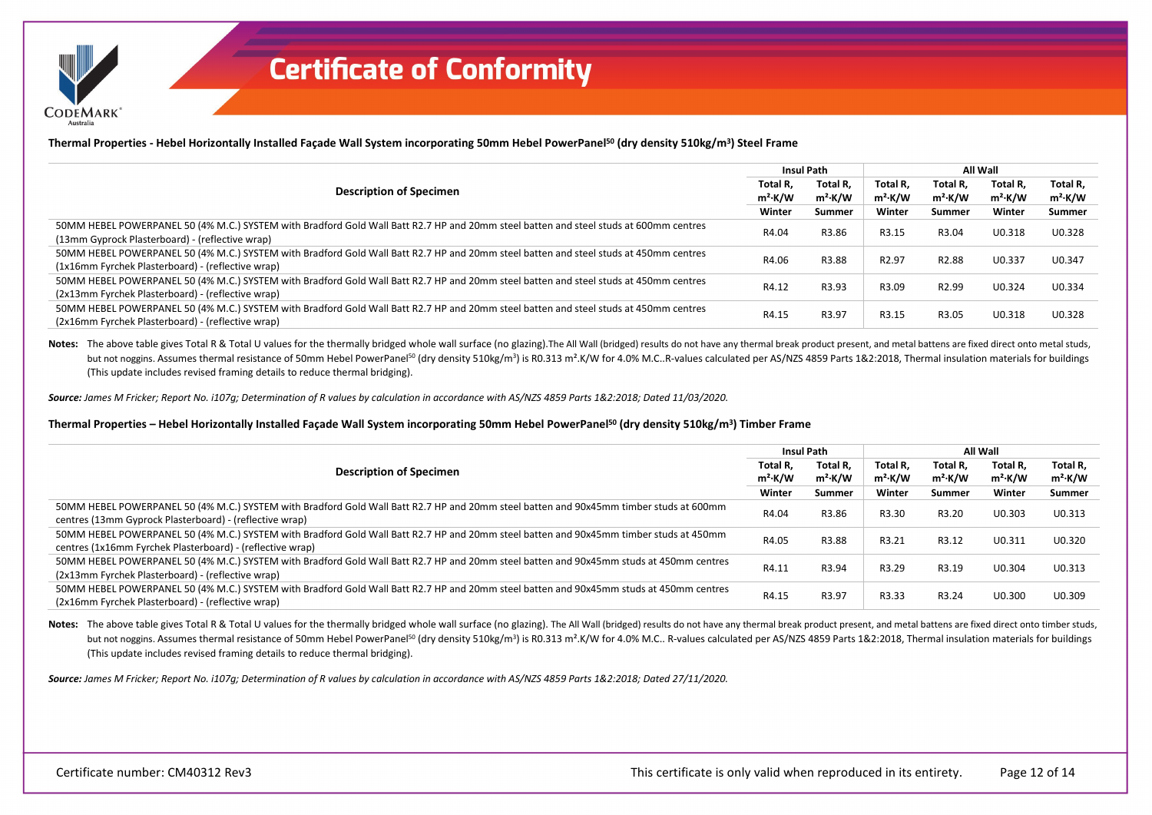**CODEMARK** 

**Thermal Properties - Hebel Horizontally Installed Façade Wall System incorporating 50mm Hebel PowerPanel50 (dry density 510kg/m3) Steel Frame**

| <b>Description of Specimen</b>                                                                                                                                                             |        | <b>Insul Path</b>      |                        | All Wall               |                        |                        |
|--------------------------------------------------------------------------------------------------------------------------------------------------------------------------------------------|--------|------------------------|------------------------|------------------------|------------------------|------------------------|
|                                                                                                                                                                                            |        | Total R.<br>$m^2$ ·K/W | Total R.<br>$m^2$ ·K/W | Total R.<br>$m^2$ ·K/W | Total R.<br>$m^2$ ·K/W | Total R,<br>$m^2$ ·K/W |
|                                                                                                                                                                                            | Winter | Summer                 | Winter                 | Summer                 | Winter                 | Summer                 |
| 50MM HEBEL POWERPANEL 50 (4% M.C.) SYSTEM with Bradford Gold Wall Batt R2.7 HP and 20mm steel batten and steel studs at 600mm centres<br>(13mm Gyprock Plasterboard) - (reflective wrap)   | R4.04  | R3.86                  | R3.15                  | R3.04                  | U0.318                 | U0.328                 |
| 50MM HEBEL POWERPANEL 50 (4% M.C.) SYSTEM with Bradford Gold Wall Batt R2.7 HP and 20mm steel batten and steel studs at 450mm centres<br>(1x16mm Fyrchek Plasterboard) - (reflective wrap) | R4.06  | R3.88                  | R <sub>2.97</sub>      | R <sub>2.88</sub>      | U0.337                 | U0.347                 |
| 50MM HEBEL POWERPANEL 50 (4% M.C.) SYSTEM with Bradford Gold Wall Batt R2.7 HP and 20mm steel batten and steel studs at 450mm centres<br>(2x13mm Fyrchek Plasterboard) - (reflective wrap) | R4.12  | R3.93                  | R3.09                  | R <sub>2.99</sub>      | U0.324                 | U0.334                 |
| 50MM HEBEL POWERPANEL 50 (4% M.C.) SYSTEM with Bradford Gold Wall Batt R2.7 HP and 20mm steel batten and steel studs at 450mm centres<br>(2x16mm Fyrchek Plasterboard) - (reflective wrap) | R4.15  | R3.97                  | R3.15                  | R3.05                  | U0.318                 | U0.328                 |

Notes: The above table gives Total R & Total U values for the thermally bridged whole wall surface (no glazing). The All Wall (bridged) results do not have any thermal break product present, and metal battens are fixed dir but not noggins. Assumes thermal resistance of 50mm Hebel PowerPanel<sup>50</sup> (dry density 510kg/m<sup>3</sup>) is R0.313 m<sup>2</sup>.K/W for 4.0% M.C..R-values calculated per AS/NZS 4859 Parts 1&2:2018, Thermal insulation materials for buildi (This update includes revised framing details to reduce thermal bridging).

*Source: James M Fricker; Report No. i107g; Determination of R values by calculation in accordance with AS/NZS 4859 Parts 1&2:2018; Dated 11/03/2020.*

#### **Thermal Properties – Hebel Horizontally Installed Façade Wall System incorporating 50mm Hebel PowerPanel50 (dry density 510kg/m3) Timber Frame**

| <b>Description of Specimen</b>                                                                                                                                                                      |                 | Insul Path             |                        | All Wall               |                                 |                        |  |
|-----------------------------------------------------------------------------------------------------------------------------------------------------------------------------------------------------|-----------------|------------------------|------------------------|------------------------|---------------------------------|------------------------|--|
|                                                                                                                                                                                                     |                 | Total R.<br>$m^2$ ·K/W | Total R.<br>$m^2$ ·K/W | Total R.<br>$m^2$ ·K/W | Total R.<br>m <sup>2</sup> ⋅K/W | Total R,<br>$m^2$ ·K/W |  |
|                                                                                                                                                                                                     |                 | Summer                 | Winter                 | Summer                 | Winter                          | Summer                 |  |
| 50MM HEBEL POWERPANEL 50 (4% M.C.) SYSTEM with Bradford Gold Wall Batt R2.7 HP and 20mm steel batten and 90x45mm timber studs at 600mm<br>centres (13mm Gyprock Plasterboard) - (reflective wrap)   | Winter<br>R4.04 | R3.86                  | R3.30                  | R3.20                  | U0.303                          | U0.313                 |  |
| 50MM HEBEL POWERPANEL 50 (4% M.C.) SYSTEM with Bradford Gold Wall Batt R2.7 HP and 20mm steel batten and 90x45mm timber studs at 450mm<br>centres (1x16mm Fyrchek Plasterboard) - (reflective wrap) | R4.05           | R3.88                  | R3.21                  | R3.12                  | U0.311                          | U0.320                 |  |
| 50MM HEBEL POWERPANEL 50 (4% M.C.) SYSTEM with Bradford Gold Wall Batt R2.7 HP and 20mm steel batten and 90x45mm studs at 450mm centres<br>(2x13mm Fyrchek Plasterboard) - (reflective wrap)        | R4.11           | R3.94                  | R3.29                  | R3.19                  | U0.304                          | U0.313                 |  |
| 50MM HEBEL POWERPANEL 50 (4% M.C.) SYSTEM with Bradford Gold Wall Batt R2.7 HP and 20mm steel batten and 90x45mm studs at 450mm centres<br>(2x16mm Fyrchek Plasterboard) - (reflective wrap)        | R4.15           | R3.97                  | R3.33                  | R3.24                  | U0.300                          | U0.309                 |  |

Notes: The above table gives Total R & Total U values for the thermally bridged whole wall surface (no glazing). The All Wall (bridged) results do not have any thermal break product present, and metal battens are fixed dir but not noggins. Assumes thermal resistance of 50mm Hebel PowerPanel<sup>50</sup> (dry density 510kg/m<sup>3</sup>) is R0.313 m<sup>2</sup>.K/W for 4.0% M.C.. R-values calculated per AS/NZS 4859 Parts 1&2:2018. Thermal insulation materials for build (This update includes revised framing details to reduce thermal bridging).

*Source: James M Fricker; Report No. i107g; Determination of R values by calculation in accordance with AS/NZS 4859 Parts 1&2:2018; Dated 27/11/2020.*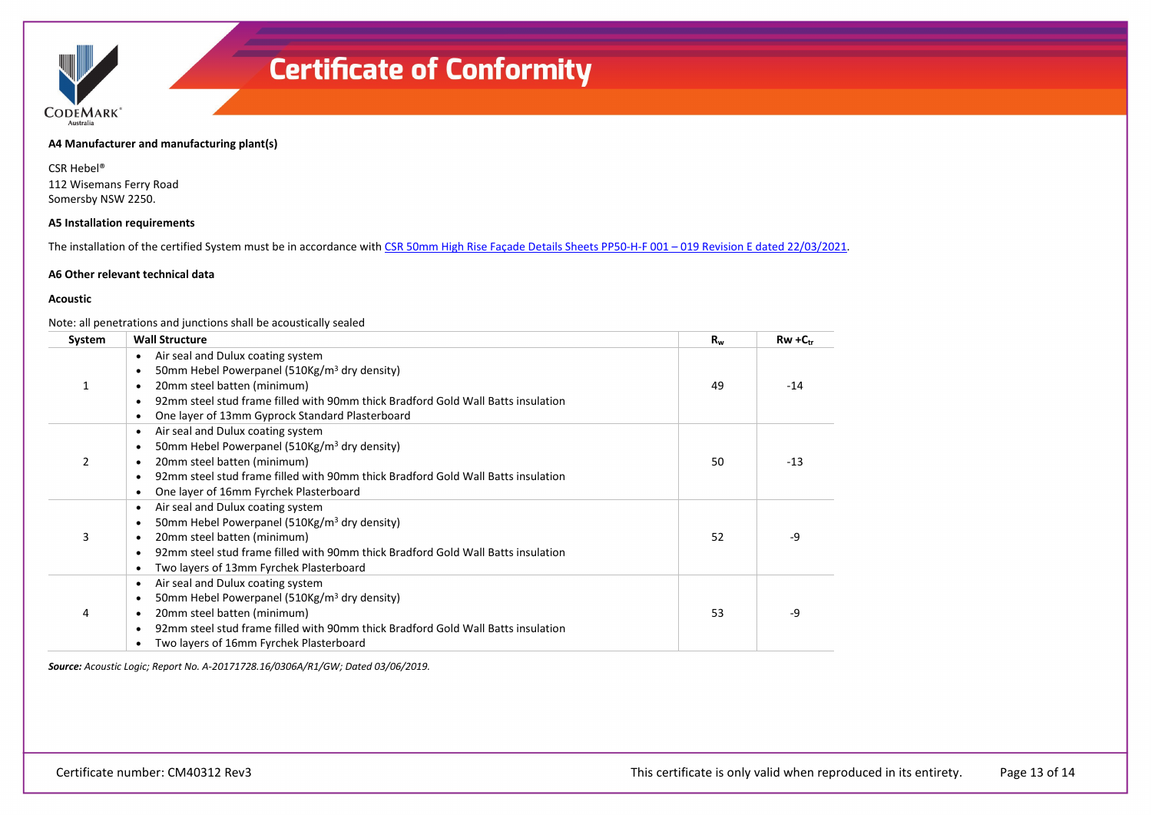

**A4 Manufacturer and manufacturing plant(s)**

CSR Hebel® 112 Wisemans Ferry Road Somersby NSW 2250.

#### **A5 Installation requirements**

The installation of the certified System must be in accordance with CSR 50mm High Rise Façade Details Sheets PP50-H-F 001 - 019 Revision E dated 22/03/2021.

#### **A6 Other relevant technical data**

#### **Acoustic**

#### Note: all penetrations and junctions shall be acoustically sealed

| System        | <b>Wall Structure</b>                                                                                                                                                                                                                                                             | $R_{w}$ | $Rw + C_{tr}$ |
|---------------|-----------------------------------------------------------------------------------------------------------------------------------------------------------------------------------------------------------------------------------------------------------------------------------|---------|---------------|
|               | Air seal and Dulux coating system<br>50mm Hebel Powerpanel (510Kg/m <sup>3</sup> dry density)<br>20mm steel batten (minimum)<br>92mm steel stud frame filled with 90mm thick Bradford Gold Wall Batts insulation<br>$\epsilon$<br>One layer of 13mm Gyprock Standard Plasterboard | 49      | $-14$         |
| $\mathcal{P}$ | Air seal and Dulux coating system<br>٠<br>50mm Hebel Powerpanel (510Kg/m <sup>3</sup> dry density)<br>٠<br>20mm steel batten (minimum)<br>92mm steel stud frame filled with 90mm thick Bradford Gold Wall Batts insulation<br>$\bullet$<br>One layer of 16mm Fyrchek Plasterboard | 50      | $-13$         |
| 3             | Air seal and Dulux coating system<br>50mm Hebel Powerpanel (510Kg/m <sup>3</sup> dry density)<br>20mm steel batten (minimum)<br>92mm steel stud frame filled with 90mm thick Bradford Gold Wall Batts insulation<br>Two layers of 13mm Fyrchek Plasterboard<br>$\bullet$          | 52      | -9            |
| 4             | Air seal and Dulux coating system<br>50mm Hebel Powerpanel (510Kg/m <sup>3</sup> dry density)<br>20mm steel batten (minimum)<br>92mm steel stud frame filled with 90mm thick Bradford Gold Wall Batts insulation<br>Two layers of 16mm Fyrchek Plasterboard                       | 53      | -9            |

*Source: Acoustic Logic; Report No. A-20171728.16/0306A/R1/GW; Dated 03/06/2019.*